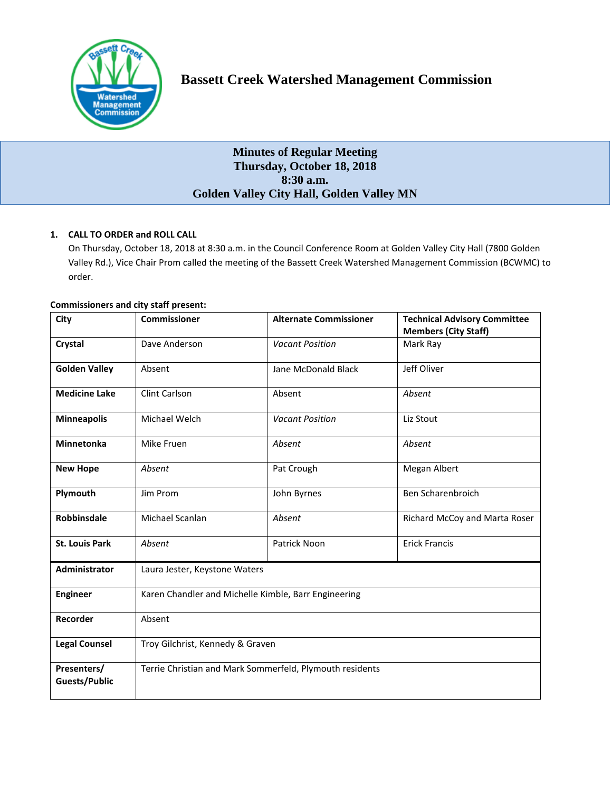

# **Minutes of Regular Meeting Thursday, October 18, 2018 8:30 a.m. Golden Valley City Hall, Golden Valley MN**

# **1. CALL TO ORDER and ROLL CALL**

On Thursday, October 18, 2018 at 8:30 a.m. in the Council Conference Room at Golden Valley City Hall (7800 Golden Valley Rd.), Vice Chair Prom called the meeting of the Bassett Creek Watershed Management Commission (BCWMC) to order.

| <b>Commissioners and city staff present:</b> |  |  |  |  |
|----------------------------------------------|--|--|--|--|
|----------------------------------------------|--|--|--|--|

| City                                | <b>Commissioner</b>                                      | <b>Alternate Commissioner</b> | <b>Technical Advisory Committee</b><br><b>Members (City Staff)</b> |  |  |
|-------------------------------------|----------------------------------------------------------|-------------------------------|--------------------------------------------------------------------|--|--|
| Crystal                             | Dave Anderson                                            | <b>Vacant Position</b>        | Mark Ray                                                           |  |  |
| <b>Golden Valley</b>                | Absent                                                   | Jane McDonald Black           | Jeff Oliver                                                        |  |  |
| <b>Medicine Lake</b>                | Clint Carlson                                            | Absent                        | Absent                                                             |  |  |
| <b>Minneapolis</b>                  | Michael Welch                                            | <b>Vacant Position</b>        | Liz Stout                                                          |  |  |
| <b>Minnetonka</b>                   | Mike Fruen                                               | Absent                        | Absent                                                             |  |  |
| <b>New Hope</b>                     | Absent                                                   | Pat Crough                    | Megan Albert                                                       |  |  |
| Plymouth                            | Jim Prom                                                 | John Byrnes                   | Ben Scharenbroich                                                  |  |  |
| Robbinsdale                         | Michael Scanlan                                          | Absent                        | Richard McCoy and Marta Roser                                      |  |  |
| <b>St. Louis Park</b>               | Absent                                                   | Patrick Noon                  | <b>Erick Francis</b>                                               |  |  |
| Administrator                       | Laura Jester, Keystone Waters                            |                               |                                                                    |  |  |
| <b>Engineer</b>                     | Karen Chandler and Michelle Kimble, Barr Engineering     |                               |                                                                    |  |  |
| Recorder                            | Absent                                                   |                               |                                                                    |  |  |
| <b>Legal Counsel</b>                | Troy Gilchrist, Kennedy & Graven                         |                               |                                                                    |  |  |
| Presenters/<br><b>Guests/Public</b> | Terrie Christian and Mark Sommerfeld, Plymouth residents |                               |                                                                    |  |  |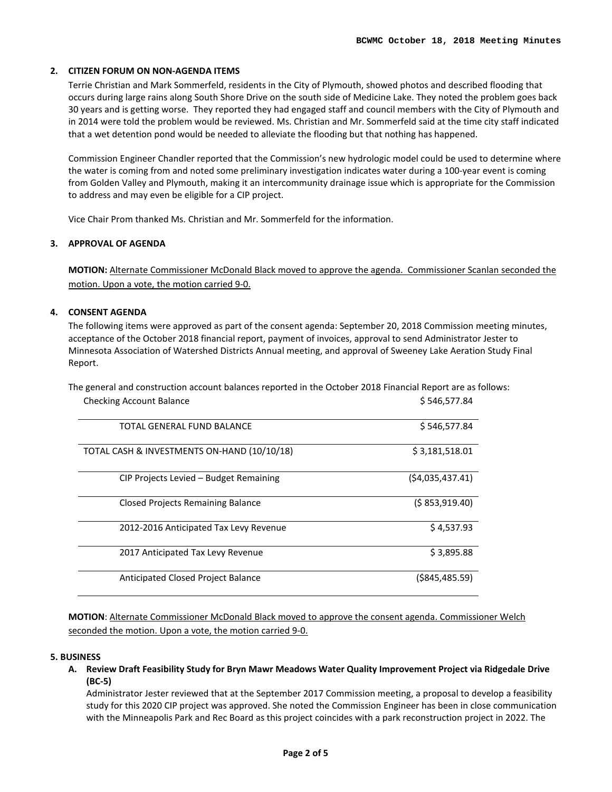# **2. CITIZEN FORUM ON NON-AGENDA ITEMS**

Terrie Christian and Mark Sommerfeld, residents in the City of Plymouth, showed photos and described flooding that occurs during large rains along South Shore Drive on the south side of Medicine Lake. They noted the problem goes back 30 years and is getting worse. They reported they had engaged staff and council members with the City of Plymouth and in 2014 were told the problem would be reviewed. Ms. Christian and Mr. Sommerfeld said at the time city staff indicated that a wet detention pond would be needed to alleviate the flooding but that nothing has happened.

Commission Engineer Chandler reported that the Commission's new hydrologic model could be used to determine where the water is coming from and noted some preliminary investigation indicates water during a 100-year event is coming from Golden Valley and Plymouth, making it an intercommunity drainage issue which is appropriate for the Commission to address and may even be eligible for a CIP project.

Vice Chair Prom thanked Ms. Christian and Mr. Sommerfeld for the information.

# **3. APPROVAL OF AGENDA**

**MOTION:** Alternate Commissioner McDonald Black moved to approve the agenda. Commissioner Scanlan seconded the motion. Upon a vote, the motion carried 9-0.

# **4. CONSENT AGENDA**

The following items were approved as part of the consent agenda: September 20, 2018 Commission meeting minutes, acceptance of the October 2018 financial report, payment of invoices, approval to send Administrator Jester to Minnesota Association of Watershed Districts Annual meeting, and approval of Sweeney Lake Aeration Study Final Report.

The general and construction account balances reported in the October 2018 Financial Report are as follows: Checking Account Balance **\$ 546,577.84** 

| TOTAL GENERAL FUND BALANCE                  | \$546,577.84      |
|---------------------------------------------|-------------------|
| TOTAL CASH & INVESTMENTS ON-HAND (10/10/18) | \$3,181,518.01    |
| CIP Projects Levied – Budget Remaining      | (\$4,035,437.41)  |
| <b>Closed Projects Remaining Balance</b>    | (5853,919.40)     |
| 2012-2016 Anticipated Tax Levy Revenue      | \$4,537.93        |
| 2017 Anticipated Tax Levy Revenue           | \$3,895.88        |
| Anticipated Closed Project Balance          | $($ \$845,485.59) |

**MOTION**: Alternate Commissioner McDonald Black moved to approve the consent agenda. Commissioner Welch seconded the motion. Upon a vote, the motion carried 9-0.

# **5. BUSINESS**

**A. Review Draft Feasibility Study for Bryn Mawr Meadows Water Quality Improvement Project via Ridgedale Drive (BC-5)** 

Administrator Jester reviewed that at the September 2017 Commission meeting, a proposal to develop a feasibility study for this 2020 CIP project was approved. She noted the Commission Engineer has been in close communication with the Minneapolis Park and Rec Board as this project coincides with a park reconstruction project in 2022. The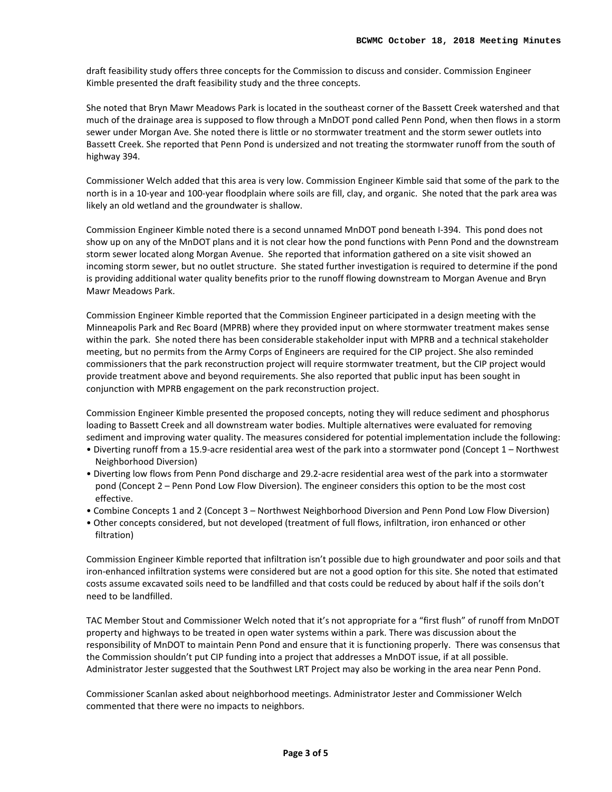draft feasibility study offers three concepts for the Commission to discuss and consider. Commission Engineer Kimble presented the draft feasibility study and the three concepts.

She noted that Bryn Mawr Meadows Park is located in the southeast corner of the Bassett Creek watershed and that much of the drainage area is supposed to flow through a MnDOT pond called Penn Pond, when then flows in a storm sewer under Morgan Ave. She noted there is little or no stormwater treatment and the storm sewer outlets into Bassett Creek. She reported that Penn Pond is undersized and not treating the stormwater runoff from the south of highway 394.

Commissioner Welch added that this area is very low. Commission Engineer Kimble said that some of the park to the north is in a 10-year and 100-year floodplain where soils are fill, clay, and organic. She noted that the park area was likely an old wetland and the groundwater is shallow.

Commission Engineer Kimble noted there is a second unnamed MnDOT pond beneath I-394. This pond does not show up on any of the MnDOT plans and it is not clear how the pond functions with Penn Pond and the downstream storm sewer located along Morgan Avenue. She reported that information gathered on a site visit showed an incoming storm sewer, but no outlet structure. She stated further investigation is required to determine if the pond is providing additional water quality benefits prior to the runoff flowing downstream to Morgan Avenue and Bryn Mawr Meadows Park.

Commission Engineer Kimble reported that the Commission Engineer participated in a design meeting with the Minneapolis Park and Rec Board (MPRB) where they provided input on where stormwater treatment makes sense within the park. She noted there has been considerable stakeholder input with MPRB and a technical stakeholder meeting, but no permits from the Army Corps of Engineers are required for the CIP project. She also reminded commissioners that the park reconstruction project will require stormwater treatment, but the CIP project would provide treatment above and beyond requirements. She also reported that public input has been sought in conjunction with MPRB engagement on the park reconstruction project.

Commission Engineer Kimble presented the proposed concepts, noting they will reduce sediment and phosphorus loading to Bassett Creek and all downstream water bodies. Multiple alternatives were evaluated for removing sediment and improving water quality. The measures considered for potential implementation include the following:

- Diverting runoff from a 15.9-acre residential area west of the park into a stormwater pond (Concept 1 Northwest Neighborhood Diversion)
- Diverting low flows from Penn Pond discharge and 29.2-acre residential area west of the park into a stormwater pond (Concept 2 – Penn Pond Low Flow Diversion). The engineer considers this option to be the most cost effective.
- Combine Concepts 1 and 2 (Concept 3 Northwest Neighborhood Diversion and Penn Pond Low Flow Diversion)
- Other concepts considered, but not developed (treatment of full flows, infiltration, iron enhanced or other filtration)

Commission Engineer Kimble reported that infiltration isn't possible due to high groundwater and poor soils and that iron-enhanced infiltration systems were considered but are not a good option for this site. She noted that estimated costs assume excavated soils need to be landfilled and that costs could be reduced by about half if the soils don't need to be landfilled.

TAC Member Stout and Commissioner Welch noted that it's not appropriate for a "first flush" of runoff from MnDOT property and highways to be treated in open water systems within a park. There was discussion about the responsibility of MnDOT to maintain Penn Pond and ensure that it is functioning properly. There was consensus that the Commission shouldn't put CIP funding into a project that addresses a MnDOT issue, if at all possible. Administrator Jester suggested that the Southwest LRT Project may also be working in the area near Penn Pond.

Commissioner Scanlan asked about neighborhood meetings. Administrator Jester and Commissioner Welch commented that there were no impacts to neighbors.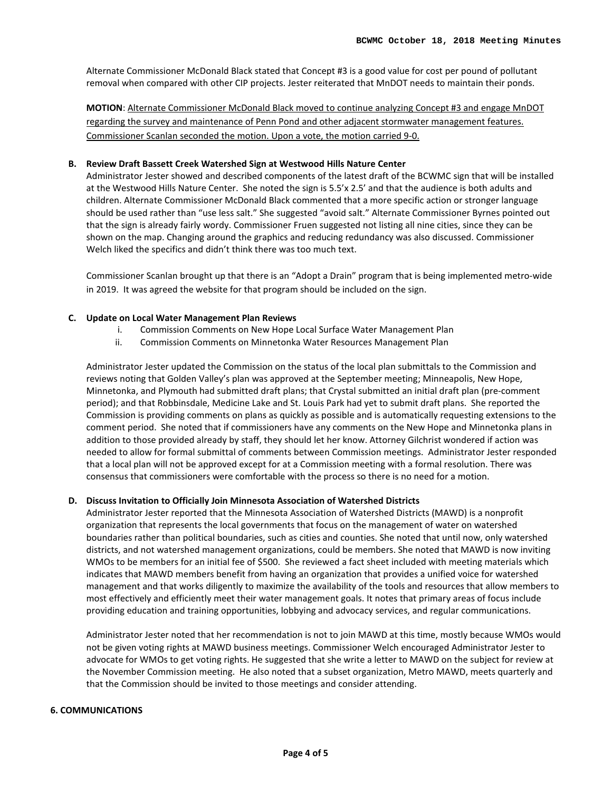Alternate Commissioner McDonald Black stated that Concept #3 is a good value for cost per pound of pollutant removal when compared with other CIP projects. Jester reiterated that MnDOT needs to maintain their ponds.

**MOTION**: Alternate Commissioner McDonald Black moved to continue analyzing Concept #3 and engage MnDOT regarding the survey and maintenance of Penn Pond and other adjacent stormwater management features. Commissioner Scanlan seconded the motion. Upon a vote, the motion carried 9-0.

### **B. Review Draft Bassett Creek Watershed Sign at Westwood Hills Nature Center**

Administrator Jester showed and described components of the latest draft of the BCWMC sign that will be installed at the Westwood Hills Nature Center. She noted the sign is 5.5'x 2.5' and that the audience is both adults and children. Alternate Commissioner McDonald Black commented that a more specific action or stronger language should be used rather than "use less salt." She suggested "avoid salt." Alternate Commissioner Byrnes pointed out that the sign is already fairly wordy. Commissioner Fruen suggested not listing all nine cities, since they can be shown on the map. Changing around the graphics and reducing redundancy was also discussed. Commissioner Welch liked the specifics and didn't think there was too much text.

Commissioner Scanlan brought up that there is an "Adopt a Drain" program that is being implemented metro-wide in 2019. It was agreed the website for that program should be included on the sign.

#### **C. Update on Local Water Management Plan Reviews**

- i. Commission Comments on New Hope Local Surface Water Management Plan
- ii. Commission Comments on Minnetonka Water Resources Management Plan

Administrator Jester updated the Commission on the status of the local plan submittals to the Commission and reviews noting that Golden Valley's plan was approved at the September meeting; Minneapolis, New Hope, Minnetonka, and Plymouth had submitted draft plans; that Crystal submitted an initial draft plan (pre-comment period); and that Robbinsdale, Medicine Lake and St. Louis Park had yet to submit draft plans. She reported the Commission is providing comments on plans as quickly as possible and is automatically requesting extensions to the comment period. She noted that if commissioners have any comments on the New Hope and Minnetonka plans in addition to those provided already by staff, they should let her know. Attorney Gilchrist wondered if action was needed to allow for formal submittal of comments between Commission meetings. Administrator Jester responded that a local plan will not be approved except for at a Commission meeting with a formal resolution. There was consensus that commissioners were comfortable with the process so there is no need for a motion.

# **D. Discuss Invitation to Officially Join Minnesota Association of Watershed Districts**

Administrator Jester reported that the Minnesota Association of Watershed Districts (MAWD) is a nonprofit organization that represents the local governments that focus on the management of water on watershed boundaries rather than political boundaries, such as cities and counties. She noted that until now, only watershed districts, and not watershed management organizations, could be members. She noted that MAWD is now inviting WMOs to be members for an initial fee of \$500. She reviewed a fact sheet included with meeting materials which indicates that MAWD members benefit from having an organization that provides a unified voice for watershed management and that works diligently to maximize the availability of the tools and resources that allow members to most effectively and efficiently meet their water management goals. It notes that primary areas of focus include providing education and training opportunities, lobbying and advocacy services, and regular communications.

Administrator Jester noted that her recommendation is not to join MAWD at this time, mostly because WMOs would not be given voting rights at MAWD business meetings. Commissioner Welch encouraged Administrator Jester to advocate for WMOs to get voting rights. He suggested that she write a letter to MAWD on the subject for review at the November Commission meeting. He also noted that a subset organization, Metro MAWD, meets quarterly and that the Commission should be invited to those meetings and consider attending.

#### **6. COMMUNICATIONS**